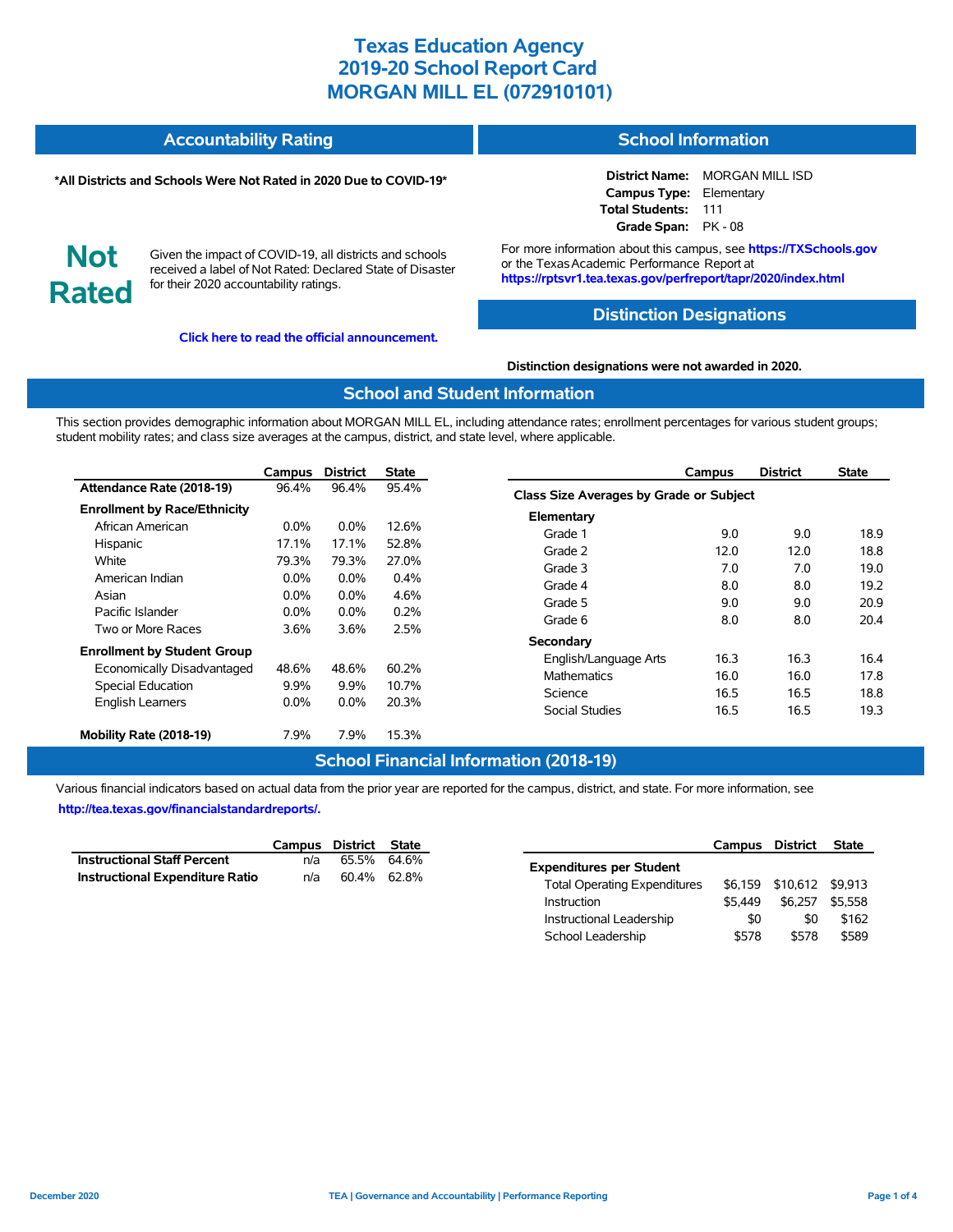#### **Accountability Rating School Information**

#### **\*All Districts and Schools Were Not Rated in 2020 Due to COVID-19\***

**District Name:** MORGAN MILL ISD **Campus Type:** Elementary **Total Students:** 111 **Grade Span:** PK - 08

**Not Rated**

Given the impact of COVID-19, all districts and schools received a label of Not Rated: Declared State of Disaster for their 2020 accountability ratings.

**[Click here to read the official announcement.](https://tea.texas.gov/about-tea/news-and-multimedia/correspondence/taa-letters/every-student-succeeds-act-essa-waiver-approval-2020-state-academic-accountability)**

For more information about this campus, see **https://TXSchools.gov** or the Texas Academic Performance Report at **https://rptsvr1.tea.texas.gov/perfreport/tapr/2020/index.html**

### **Distinction Designations**

**Distinction designations were not awarded in 2020.**

#### **School and Student Information**

This section provides demographic information about MORGAN MILL EL, including attendance rates; enrollment percentages for various student groups; student mobility rates; and class size averages at the campus, district, and state level, where applicable.

|                                     | Campus                  | <b>District</b> | State         | Campus                                  | <b>District</b> | <b>State</b> |  |  |  |  |
|-------------------------------------|-------------------------|-----------------|---------------|-----------------------------------------|-----------------|--------------|--|--|--|--|
| Attendance Rate (2018-19)           | 96.4%                   | 96.4%           | 95.4%         | Class Size Averages by Grade or Subject |                 |              |  |  |  |  |
| <b>Enrollment by Race/Ethnicity</b> |                         |                 |               | Elementary                              |                 |              |  |  |  |  |
| African American                    | $0.0\%$                 | $0.0\%$         | 12.6%         | 9.0<br>Grade 1                          | 9.0             | 18.9         |  |  |  |  |
| Hispanic                            | 17.1%                   | 17.1%           | 52.8%         | Grade 2<br>12.0                         | 12.0            | 18.8         |  |  |  |  |
| White<br>American Indian            | 79.3%                   | 79.3%<br>0.0%   | 27.0%<br>0.4% | 7.0<br>Grade 3                          | 7.0             | 19.0         |  |  |  |  |
| Asian                               | $0.0\%$<br>$0.0\%$      | 0.0%            | 4.6%          | Grade 4<br>8.0                          | 8.0             | 19.2         |  |  |  |  |
| Pacific Islander                    | $0.0\%$                 | $0.0\%$         | 0.2%          | 9.0<br>Grade 5<br>8.0<br>Grade 6        | 9.0<br>8.0      | 20.9<br>20.4 |  |  |  |  |
| Two or More Races                   | 3.6%                    | 3.6%            | 2.5%          | Secondary                               |                 |              |  |  |  |  |
| <b>Enrollment by Student Group</b>  |                         |                 |               | 16.3<br>English/Language Arts           | 16.3            | 16.4         |  |  |  |  |
| Economically Disadvantaged          | 48.6%<br>48.6%<br>60.2% |                 |               | 16.0<br>Mathematics                     | 16.0            | 17.8         |  |  |  |  |
| Special Education                   | $9.9\%$                 | 9.9%            | 10.7%         | Science<br>16.5                         | 16.5            | 18.8         |  |  |  |  |
| <b>English Learners</b>             | $0.0\%$                 | 0.0%            | 20.3%         | <b>Social Studies</b><br>16.5           | 16.5            | 19.3         |  |  |  |  |
| Mobility Rate (2018-19)             | 7.9%                    | 7.9%            | 15.3%         |                                         |                 |              |  |  |  |  |

## **School Financial Information (2018-19)**

Various financial indicators based on actual data from the prior year are reported for the campus, district, and state. For more information, see **[http://tea.texas.gov/financialstandardreports/.](http://tea.texas.gov/financialstandardreports/)**

|                                        | Campus District State |             |  |
|----------------------------------------|-----------------------|-------------|--|
| <b>Instructional Staff Percent</b>     | n/a                   | 65.5% 64.6% |  |
| <b>Instructional Expenditure Ratio</b> | n/a                   | 60.4% 62.8% |  |

|                                     | Campus District |          | <b>State</b> |
|-------------------------------------|-----------------|----------|--------------|
| <b>Expenditures per Student</b>     |                 |          |              |
| <b>Total Operating Expenditures</b> | \$6.159         | \$10,612 | \$9.913      |
| Instruction                         | \$5.449         | \$6.257  | \$5.558      |
| Instructional Leadership            | \$0             | \$0      | \$162        |
| School Leadership                   | \$578           | \$578    | \$589        |

Ĭ.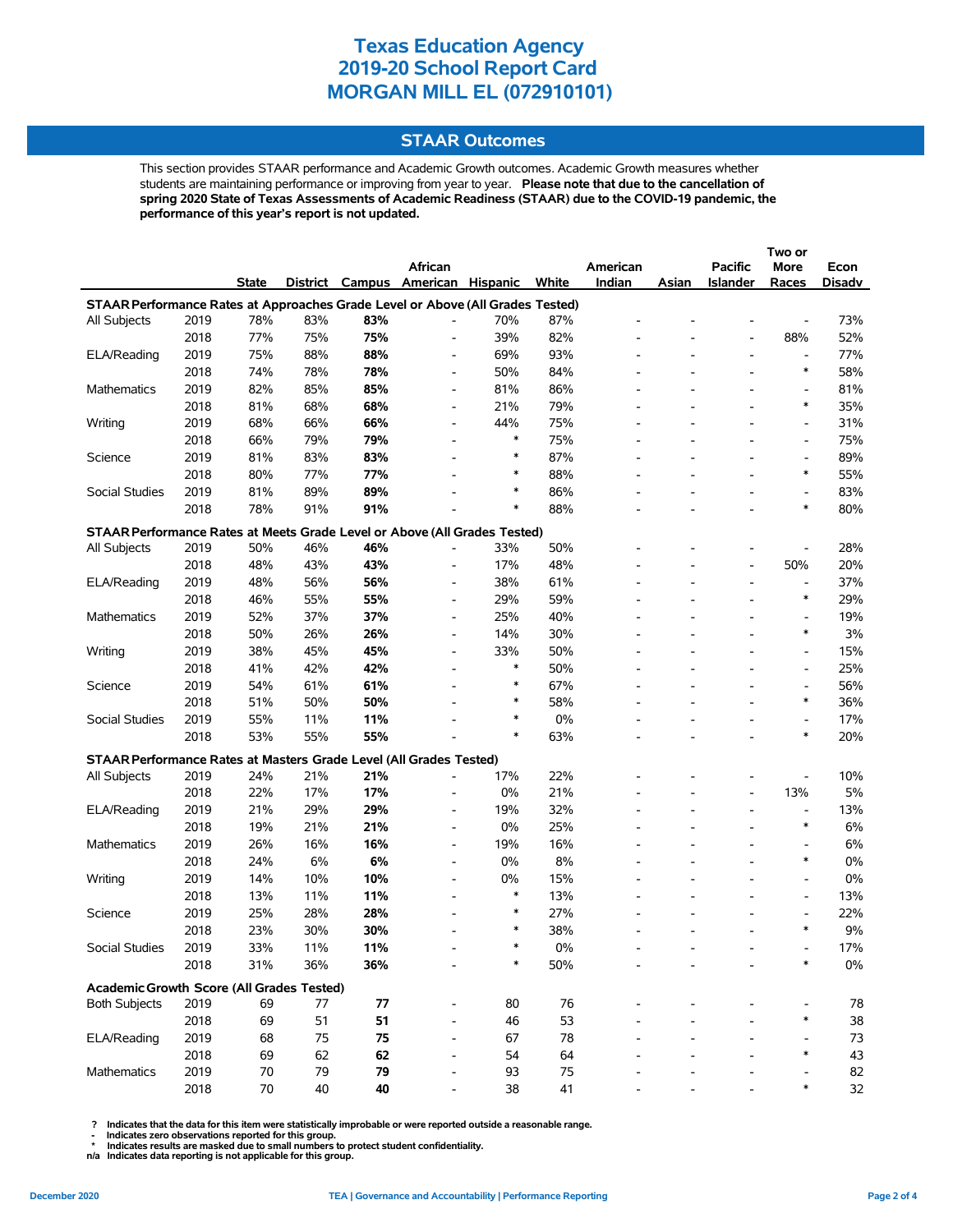## **STAAR Outcomes**

This section provides STAAR performance and Academic Growth outcomes. Academic Growth measures whether students are maintaining performance or improving from year to year. **Please note that due to the cancellation of spring 2020 State of Texas Assessments of Academic Readiness (STAAR) due to the COVID-19 pandemic, the performance of this year's report is not updated.**

|                                                                                |      |              |     |     |                                   |        |       |          |       | Two or                   |                          |               |
|--------------------------------------------------------------------------------|------|--------------|-----|-----|-----------------------------------|--------|-------|----------|-------|--------------------------|--------------------------|---------------|
|                                                                                |      |              |     |     | African                           |        |       | American |       | <b>Pacific</b>           | More                     | Econ          |
|                                                                                |      | <b>State</b> |     |     | District Campus American Hispanic |        | White | Indian   | Asian | Islander                 | Races                    | <b>Disadv</b> |
| STAAR Performance Rates at Approaches Grade Level or Above (All Grades Tested) |      |              |     |     |                                   |        |       |          |       |                          |                          |               |
| All Subjects                                                                   | 2019 | 78%          | 83% | 83% |                                   | 70%    | 87%   |          |       |                          |                          | 73%           |
|                                                                                | 2018 | 77%          | 75% | 75% | $\overline{\phantom{0}}$          | 39%    | 82%   |          |       |                          | 88%                      | 52%           |
| ELA/Reading                                                                    | 2019 | 75%          | 88% | 88% | $\overline{\phantom{a}}$          | 69%    | 93%   |          |       | $\overline{\phantom{a}}$ | $\overline{\phantom{a}}$ | 77%           |
|                                                                                | 2018 | 74%          | 78% | 78% | $\overline{\phantom{0}}$          | 50%    | 84%   |          |       |                          | $\ast$                   | 58%           |
| Mathematics                                                                    | 2019 | 82%          | 85% | 85% | $\overline{\phantom{0}}$          | 81%    | 86%   |          |       |                          | $\overline{\phantom{a}}$ | 81%           |
|                                                                                | 2018 | 81%          | 68% | 68% | $\overline{\phantom{0}}$          | 21%    | 79%   |          |       |                          | $\ast$                   | 35%           |
| Writing                                                                        | 2019 | 68%          | 66% | 66% |                                   | 44%    | 75%   |          |       |                          |                          | 31%           |
|                                                                                |      |              |     |     |                                   | $\ast$ |       |          |       |                          | $\overline{\phantom{a}}$ |               |
|                                                                                | 2018 | 66%          | 79% | 79% |                                   | $\ast$ | 75%   |          |       |                          | $\overline{a}$           | 75%           |
| Science                                                                        | 2019 | 81%          | 83% | 83% | $\overline{\phantom{0}}$          |        | 87%   |          |       |                          | $\overline{\phantom{a}}$ | 89%           |
|                                                                                | 2018 | 80%          | 77% | 77% |                                   | $\ast$ | 88%   |          |       |                          | $\ast$                   | 55%           |
| Social Studies                                                                 | 2019 | 81%          | 89% | 89% |                                   | $\ast$ | 86%   |          |       |                          | $\overline{\phantom{a}}$ | 83%           |
|                                                                                | 2018 | 78%          | 91% | 91% |                                   | $\ast$ | 88%   |          |       |                          | $\ast$                   | 80%           |
| STAAR Performance Rates at Meets Grade Level or Above (All Grades Tested)      |      |              |     |     |                                   |        |       |          |       |                          |                          |               |
| All Subjects                                                                   | 2019 | 50%          | 46% | 46% |                                   | 33%    | 50%   |          |       |                          |                          | 28%           |
|                                                                                | 2018 | 48%          | 43% | 43% | $\overline{\phantom{0}}$          | 17%    | 48%   |          |       | $\overline{\phantom{a}}$ | 50%                      | 20%           |
| ELA/Reading                                                                    | 2019 | 48%          | 56% | 56% | $\overline{\phantom{0}}$          | 38%    | 61%   |          |       |                          | $\overline{\phantom{a}}$ | 37%           |
|                                                                                | 2018 | 46%          | 55% | 55% | $\blacksquare$                    | 29%    | 59%   |          |       |                          | $\ast$                   | 29%           |
| Mathematics                                                                    | 2019 | 52%          | 37% | 37% | $\overline{\phantom{0}}$          | 25%    | 40%   |          |       |                          | $\overline{\phantom{a}}$ | 19%           |
|                                                                                | 2018 | 50%          | 26% | 26% | $\overline{\phantom{a}}$          | 14%    | 30%   |          |       |                          | $\ast$                   | 3%            |
| Writing                                                                        | 2019 | 38%          | 45% | 45% | $\overline{\phantom{0}}$          | 33%    | 50%   |          |       |                          | $\blacksquare$           | 15%           |
|                                                                                | 2018 | 41%          | 42% | 42% |                                   | $\ast$ | 50%   |          |       |                          | $\overline{\phantom{a}}$ | 25%           |
| Science                                                                        | 2019 | 54%          | 61% | 61% |                                   | $\ast$ | 67%   |          |       |                          | $\overline{\phantom{a}}$ | 56%           |
|                                                                                | 2018 | 51%          | 50% | 50% |                                   | $\ast$ | 58%   |          |       |                          | $\ast$                   | 36%           |
| Social Studies                                                                 | 2019 | 55%          | 11% | 11% |                                   | $\ast$ | 0%    |          |       |                          | $\overline{\phantom{a}}$ | 17%           |
|                                                                                | 2018 | 53%          | 55% | 55% |                                   | $\ast$ | 63%   |          |       |                          | $\ast$                   | 20%           |
|                                                                                |      |              |     |     |                                   |        |       |          |       |                          |                          |               |
| STAAR Performance Rates at Masters Grade Level (All Grades Tested)             |      |              |     |     |                                   |        |       |          |       |                          |                          |               |
| All Subjects                                                                   | 2019 | 24%          | 21% | 21% |                                   | 17%    | 22%   |          |       |                          | $\overline{a}$           | 10%           |
|                                                                                | 2018 | 22%          | 17% | 17% | $\overline{\phantom{a}}$          | 0%     | 21%   |          |       | $\overline{\phantom{a}}$ | 13%                      | 5%            |
| ELA/Reading                                                                    | 2019 | 21%          | 29% | 29% | $\overline{\phantom{a}}$          | 19%    | 32%   |          |       | $\overline{\phantom{a}}$ | $\overline{\phantom{a}}$ | 13%           |
|                                                                                | 2018 | 19%          | 21% | 21% |                                   | 0%     | 25%   |          |       |                          | $\ast$                   | 6%            |
| Mathematics                                                                    | 2019 | 26%          | 16% | 16% | $\overline{\phantom{a}}$          | 19%    | 16%   |          |       |                          | $\overline{\phantom{a}}$ | 6%            |
|                                                                                | 2018 | 24%          | 6%  | 6%  | $\overline{\phantom{0}}$          | 0%     | 8%    |          |       |                          | $\ast$                   | 0%            |
| Writing                                                                        | 2019 | 14%          | 10% | 10% |                                   | 0%     | 15%   |          |       |                          | $\overline{\phantom{a}}$ | 0%            |
|                                                                                | 2018 | 13%          | 11% | 11% | $\overline{\phantom{0}}$          | $\ast$ | 13%   |          |       |                          | $\overline{\phantom{a}}$ | 13%           |
| Science                                                                        | 2019 | 25%          | 28% | 28% |                                   | $\ast$ | 27%   |          |       |                          | $\overline{\phantom{a}}$ | 22%           |
|                                                                                | 2018 | 23%          | 30% | 30% |                                   | $\ast$ | 38%   |          |       |                          | $\ast$                   | 9%            |
| Social Studies                                                                 | 2019 | 33%          | 11% | 11% |                                   |        | $0\%$ |          |       |                          |                          | 17%           |
|                                                                                | 2018 | 31%          | 36% | 36% |                                   | ∗      | 50%   |          |       |                          | $\ast$                   | $0\%$         |
| Academic Growth Score (All Grades Tested)                                      |      |              |     |     |                                   |        |       |          |       |                          |                          |               |
| <b>Both Subjects</b>                                                           | 2019 | 69           | 77  | 77  |                                   | 80     | 76    |          |       |                          |                          | 78            |
|                                                                                | 2018 | 69           | 51  | 51  |                                   | 46     | 53    |          |       |                          | ∗                        | 38            |
| ELA/Reading                                                                    | 2019 | 68           | 75  | 75  |                                   | 67     | 78    |          |       |                          |                          | 73            |
|                                                                                | 2018 | 69           | 62  | 62  |                                   | 54     | 64    |          |       |                          | $\ast$                   | 43            |
| Mathematics                                                                    | 2019 | 70           | 79  | 79  |                                   | 93     | 75    |          |       |                          |                          | 82            |
|                                                                                | 2018 | 70           | 40  | 40  |                                   | 38     | 41    |          |       |                          | $\ast$                   | 32            |
|                                                                                |      |              |     |     |                                   |        |       |          |       |                          |                          |               |

 **? Indicates that the data for this item were statistically improbable or were reported outside a reasonable range.**

 **- Indicates zero observations reported for this group. \* Indicates results are masked due to small numbers to protect student confidentiality.**

**n/a Indicates data reporting is not applicable for this group.**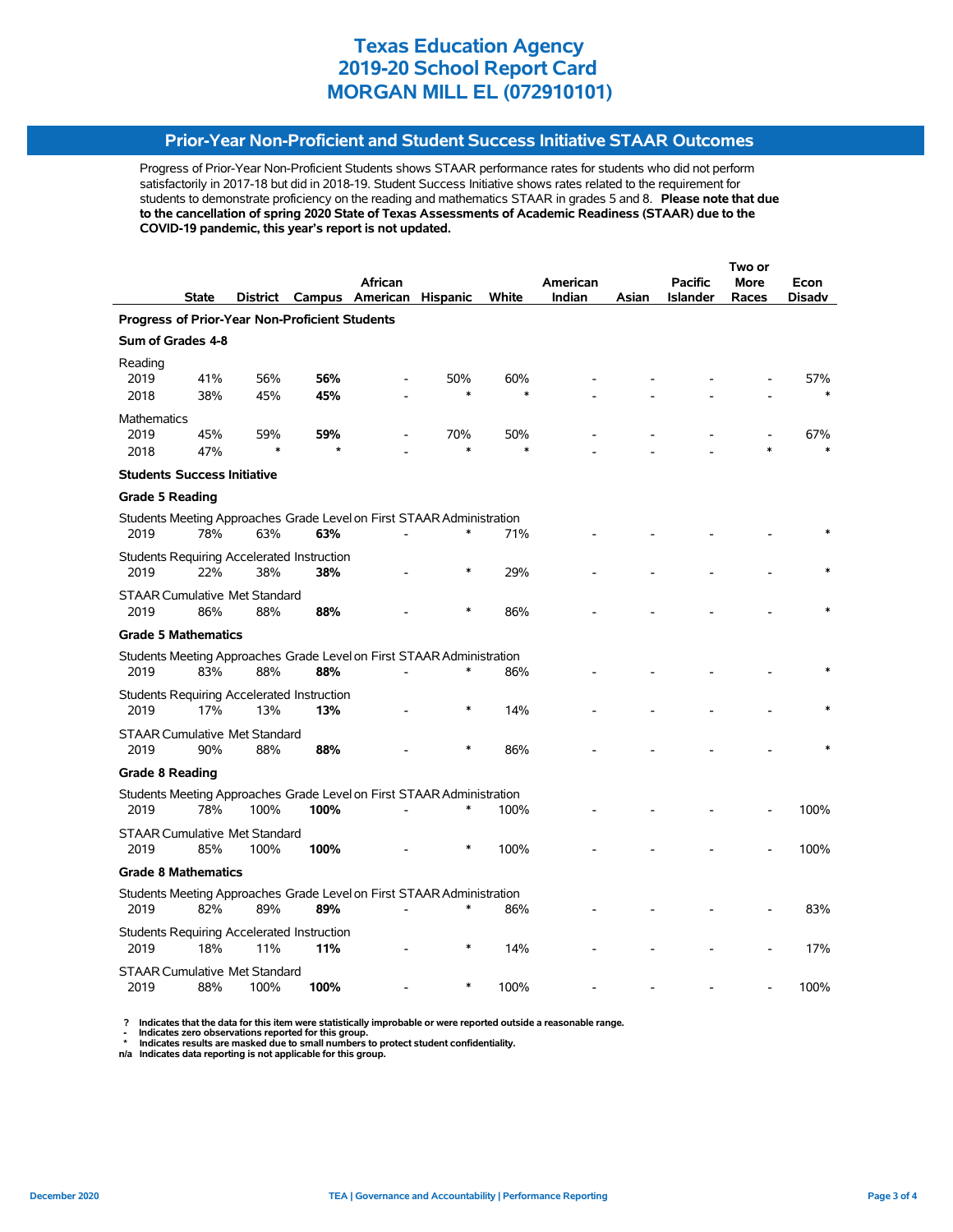## **Prior-Year Non-Proficient and Student Success Initiative STAAR Outcomes**

Progress of Prior-Year Non-Proficient Students shows STAAR performance rates for students who did not perform satisfactorily in 2017-18 but did in 2018-19. Student Success Initiative shows rates related to the requirement for students to demonstrate proficiency on the reading and mathematics STAAR in grades 5 and 8. **Please note that due to the cancellation of spring 2020 State of Texas Assessments of Academic Readiness (STAAR) due to the COVID-19 pandemic, this year's report is not updated.**

|                                              |              |          |                                                       |                                                                       |                 |        |          |       | Two or          |       |        |
|----------------------------------------------|--------------|----------|-------------------------------------------------------|-----------------------------------------------------------------------|-----------------|--------|----------|-------|-----------------|-------|--------|
|                                              |              |          |                                                       | African                                                               |                 |        | American |       | <b>Pacific</b>  | More  | Econ   |
|                                              | <b>State</b> | District |                                                       | Campus American                                                       | <b>Hispanic</b> | White  | Indian   | Asian | <b>Islander</b> | Races | Disadv |
|                                              |              |          | <b>Progress of Prior-Year Non-Proficient Students</b> |                                                                       |                 |        |          |       |                 |       |        |
| Sum of Grades 4-8                            |              |          |                                                       |                                                                       |                 |        |          |       |                 |       |        |
| Reading<br>2019                              | 41%          | 56%      | 56%                                                   |                                                                       | 50%             | 60%    |          |       |                 |       | 57%    |
| 2018                                         | 38%          | 45%      | 45%                                                   |                                                                       | $\ast$          |        |          |       |                 |       |        |
| <b>Mathematics</b><br>2019                   | 45%          | 59%      | 59%                                                   |                                                                       | 70%             | 50%    |          |       |                 |       | 67%    |
| 2018                                         | 47%          | $\ast$   |                                                       |                                                                       | $\ast$          | $\ast$ |          |       |                 |       |        |
| <b>Students Success Initiative</b>           |              |          |                                                       |                                                                       |                 |        |          |       |                 |       |        |
| <b>Grade 5 Reading</b>                       |              |          |                                                       |                                                                       |                 |        |          |       |                 |       |        |
| 2019                                         | 78%          | 63%      | 63%                                                   | Students Meeting Approaches Grade Level on First STAAR Administration | *               | 71%    |          |       |                 |       |        |
| 2019                                         | 22%          | 38%      | Students Requiring Accelerated Instruction<br>38%     |                                                                       | *               | 29%    |          |       |                 |       |        |
| <b>STAAR Cumulative Met Standard</b><br>2019 | 86%          | 88%      | 88%                                                   |                                                                       | $\ast$          | 86%    |          |       |                 |       |        |
| <b>Grade 5 Mathematics</b>                   |              |          |                                                       |                                                                       |                 |        |          |       |                 |       |        |
|                                              |              |          |                                                       |                                                                       |                 |        |          |       |                 |       |        |
| 2019                                         | 83%          | 88%      | 88%                                                   | Students Meeting Approaches Grade Level on First STAAR Administration | ∗               | 86%    |          |       |                 |       |        |
| 2019                                         | 17%          | 13%      | Students Requiring Accelerated Instruction<br>13%     |                                                                       | $\ast$          | 14%    |          |       |                 |       |        |
| <b>STAAR Cumulative Met Standard</b><br>2019 | 90%          | 88%      | 88%                                                   |                                                                       | $\ast$          | 86%    |          |       |                 |       |        |
| <b>Grade 8 Reading</b>                       |              |          |                                                       |                                                                       |                 |        |          |       |                 |       |        |
|                                              |              |          |                                                       | Students Meeting Approaches Grade Level on First STAAR Administration |                 |        |          |       |                 |       |        |
| 2019                                         | 78%          | 100%     | 100%                                                  |                                                                       | $\ast$          | 100%   |          |       |                 |       | 100%   |
| <b>STAAR Cumulative Met Standard</b><br>2019 | 85%          | 100%     | 100%                                                  |                                                                       | ∗               | 100%   |          |       |                 |       | 100%   |
| <b>Grade 8 Mathematics</b>                   |              |          |                                                       |                                                                       |                 |        |          |       |                 |       |        |
| 2019                                         | 82%          | 89%      | 89%                                                   | Students Meeting Approaches Grade Level on First STAAR Administration | $\ast$          | 86%    |          |       |                 |       | 83%    |
|                                              |              |          | Students Requiring Accelerated Instruction            |                                                                       |                 |        |          |       |                 |       |        |
| 2019                                         | 18%          | 11%      | 11%                                                   |                                                                       |                 | 14%    |          |       |                 |       | 17%    |
| <b>STAAR Cumulative Met Standard</b><br>2019 | 88%          | 100%     | 100%                                                  |                                                                       |                 | 100%   |          |       |                 |       | 100%   |

? Indicates that the data for this item were statistically improbable or were reported outside a reasonable range.<br>- Indicates zero observations reported for this group.<br>\* Indicates results are masked due to small numbers

**n/a Indicates data reporting is not applicable for this group.**